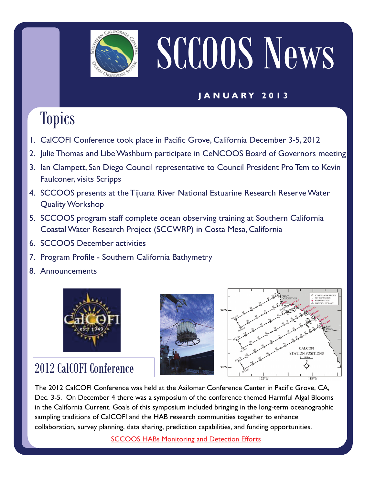

# SCCOOS News

#### **JANUARY 2013**

# **Topics**

- 1. CalCOFI Conference took place in Pacific Grove, California December 3-5, 2012
- 2. Julie Thomas and Libe Washburn participate in CeNCOOS Board of Governors meeting
- 3. Ian Clampett, San Diego Council representative to Council President Pro Tem to Kevin Faulconer, visits Scripps
- 4. SCCOOS presents at the Tijuana River National Estuarine Research Reserve Water Quality Workshop
- 5. SCCOOS program staff complete ocean observing training at Southern California Coastal Water Research Project (SCCWRP) in Costa Mesa, California
- 6. SCCOOS December activities
- 7. Program Profile Southern California Bathymetry
- 8. Announcements







#### 2012 CalCOFI Conference

The 2012 CalCOFI Conference was held at the Asilomar Conference Center in Pacific Grove, CA, Dec. 3-5. On December 4 there was a symposium of the conference themed Harmful Algal Blooms in the California Current. Goals of this symposium included bringing in the long-term oceanographic sampling traditions of CalCOFI and the HAB research communities together to enhance collaboration, survey planning, data sharing, prediction capabilities, and funding opportunities.

**[SCCOOS HABs Monitoring and Detection Efforts](http://www.sccoos.org/data/habs/index.php)**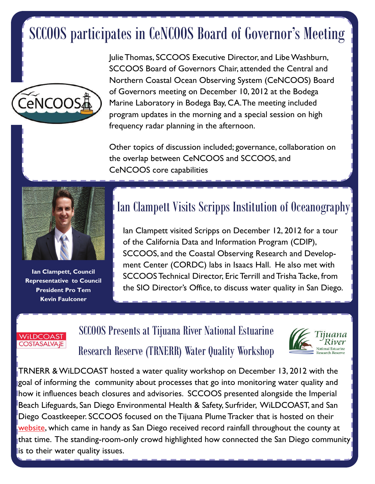## SCCOOS participates in CeNCOOS Board of Governor's Meeting



Julie Thomas, SCCOOS Executive Director, and Libe Washburn, SCCOOS Board of Governors Chair, attended the Central and Northern Coastal Ocean Observing System (CeNCOOS) Board of Governors meeting on December 10, 2012 at the Bodega Marine Laboratory in Bodega Bay, CA. The meeting included program updates in the morning and a special session on high frequency radar planning in the afternoon.

Other topics of discussion included; governance, collaboration on the overlap between CeNCOOS and SCCOOS, and CeNCOOS core capabilities



**Ian Clampett, Council Representative to Council President Pro Tem Kevin Faulconer** 

#### Ian Clampett Visits Scripps Institution of Oceanography

Ian Clampett visited Scripps on December 12, 2012 for a tour of the California Data and Information Program (CDIP), SCCOOS, and the Coastal Observing Research and Development Center (CORDC) labs in Isaacs Hall. He also met with SCCOOS Technical Director, Eric Terrill and Trisha Tacke, from the SIO Director's Office, to discuss water quality in San Diego.

#### **WILDCOAST COSTASALVAjE**

#### SCCOOS Presents at Tijuana River National Estuarine Research Reserve (TRNERR) Water Quality Workshop



TRNERR & WiLDCOAST hosted a water quality workshop on December 13, 2012 with the goal of informing the community about processes that go into monitoring water quality and how it influences beach closures and advisories. SCCOOS presented alongside the Imperial Beach Lifeguards, San Diego Environmental Health & Safety, Surfrider, WiLDCOAST, and San Diego Coastkeeper. SCCOOS focused on the Tijuana Plume Tracker that is hosted on their [website](http://www.sccoos.org/data/tracking/IB/), which came in handy as San Diego received record rainfall throughout the county at that time. The standing-room-only crowd highlighted how connected the San Diego community is to their water quality issues.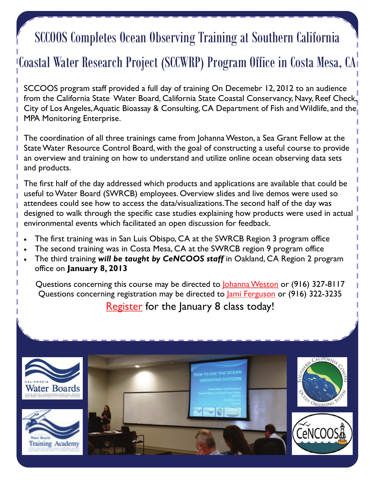## SCCOOS Completes Ocean Observing Training at Southern California

### Coastal Water Research Project (SCCWRP) Program Office in Costa Mesa, CA

SCCOOS program staff provided a full day of training On Decemebr 12, 2012 to an audience from the California State Water Board, California State Coastal Conservancy, Navy, Reef Check, City of Los Angeles, Aquatic Bioassay & Consulting, CA Department of Fish and Wildlife, and the MPA Monitoring Enterprise.

The coordination of all three trainings came from Johanna Weston, a Sea Grant Fellow at the State Water Resource Control Board, with the goal of constructing a useful course to provide an overview and training on how to understand and utilize online ocean observing data sets and products.

The first half of the day addressed which products and applications are available that could be useful to Water Board (SWRCB) employees. Overview slides and live demos were used so attendees could see how to access the data/visualizations. The second half of the day was designed to walk through the specific case studies explaining how products were used in actual environmental events which facilitated an open discussion for feedback.

- The first training was in San Luis Obispo, CA at the SWRCB Region 3 program office
- The second training was in Costa Mesa, CA at the SWRCB region 9 program office
- The third training *will be taught by CeNCOOS staff* in Oakland, CA Region 2 program office on **January 8, 2013**

Questions concerning this course may be directed to **[Johanna Weston](mailto:JWeston@waterboards.ca.gov)** or (916) 327-8117 Questions concerning registration may be directed to **Jami Ferguson** or (916) 322-3235

[Register](http://www.trainingforce.com/6/lp/gowater.aspx?ot=8&otid=427) for the January 8 class today!